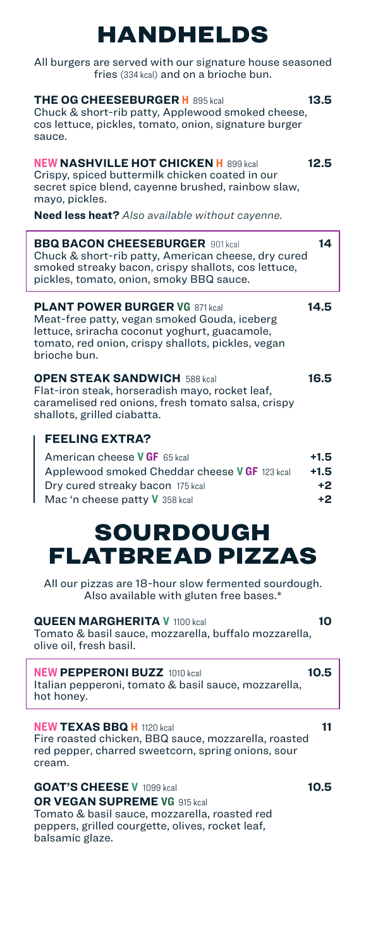# HANDHELDS

All burgers are served with our signature house seasoned fries (334 kcal) and on a brioche bun.

| <b>THE OG CHEESEBURGER H</b> 895 kcal<br>Chuck & short-rib patty, Applewood smoked cheese,<br>cos lettuce, pickles, tomato, onion, signature burger<br>sauce.                                                | 13.5                             |
|--------------------------------------------------------------------------------------------------------------------------------------------------------------------------------------------------------------|----------------------------------|
| <b>NEW NASHVILLE HOT CHICKEN H</b> 899 kcal<br>Crispy, spiced buttermilk chicken coated in our<br>secret spice blend, cayenne brushed, rainbow slaw,<br>mayo, pickles.                                       | 12.5                             |
| <b>Need less heat?</b> Also available without cayenne.                                                                                                                                                       |                                  |
| <b>BBQ BACON CHEESEBURGER 901 kcal</b><br>Chuck & short-rib patty, American cheese, dry cured<br>smoked streaky bacon, crispy shallots, cos lettuce,<br>pickles, tomato, onion, smoky BBQ sauce.             | 14                               |
| <b>PLANT POWER BURGER VG 871 kcal</b><br>Meat-free patty, vegan smoked Gouda, iceberg<br>lettuce, sriracha coconut yoghurt, guacamole,<br>tomato, red onion, crispy shallots, pickles, vegan<br>brioche bun. | 14.5                             |
| <b>OPEN STEAK SANDWICH 588 kcal</b><br>Flat-iron steak, horseradish mayo, rocket leaf,<br>caramelised red onions, fresh tomato salsa, crispy<br>shallots, grilled ciabatta.                                  | 16.5                             |
| <b>FEELING EXTRA?</b><br>American cheese VGF 65 kcal<br>Applewood smoked Cheddar cheese VGF 123 kcal<br>Dry cured streaky bacon 175 kcal<br>Mac 'n cheese patty <b>V</b> 358 kcal                            | $+1.5$<br>$+1.5$<br>$+2$<br>$+2$ |
| SOURDOUGH<br>FLATBREAD PIZZAS                                                                                                                                                                                |                                  |
| All our pizzas are 18-hour slow fermented sourdough.<br>Also available with gluten free bases.*                                                                                                              |                                  |
| <b>QUEEN MARGHERITA V 1100 kcal</b><br>Tomato & basil sauce, mozzarella, buffalo mozzarella,<br>olive oil, fresh basil.                                                                                      | 10                               |
| <b>NEW PEPPERONI BUZZ</b> 1010 kcal<br>Italian pepperoni, tomato & basil sauce, mozzarella,<br>hot honey.                                                                                                    | 10.5                             |
| <b>NEW TEXAS BBQ H</b> 1120 kcal<br>Fire roasted chicken, BBQ sauce, mozzarella, roasted<br>red pepper, charred sweetcorn, spring onions, sour<br>cream.                                                     | 11                               |
| <b>GOAT'S CHEESE V</b> 1099 kcal<br><b>OR VEGAN SUPREME VG</b> 915 kcal                                                                                                                                      | 10.5                             |

Tomato & basil sauce, mozzarella, roasted red peppers, grilled courgette, olives, rocket leaf, balsamic glaze.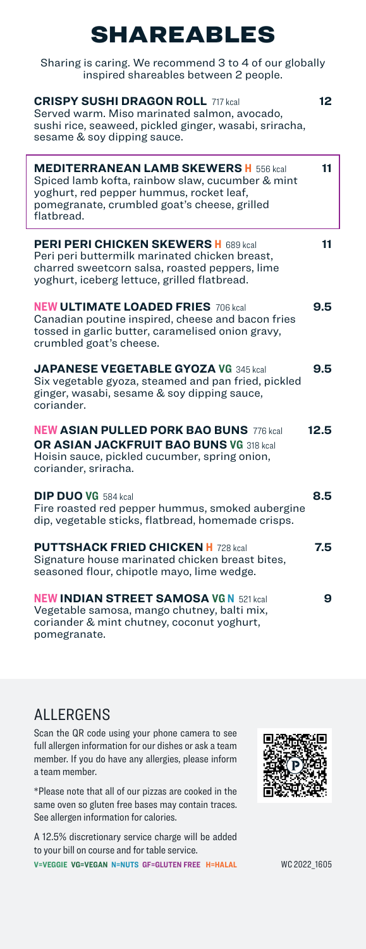## SHAREABLES

| Sharing is caring. We recommend 3 to 4 of our globally<br>inspired shareables between 2 people.                                                                                                            |      |
|------------------------------------------------------------------------------------------------------------------------------------------------------------------------------------------------------------|------|
| <b>CRISPY SUSHI DRAGON ROLL 717 kcal</b><br>Served warm. Miso marinated salmon, avocado,<br>sushi rice, seaweed, pickled ginger, wasabi, sriracha,<br>sesame & soy dipping sauce.                          | 12   |
| <b>MEDITERRANEAN LAMB SKEWERS H</b> 556 kcal<br>Spiced lamb kofta, rainbow slaw, cucumber & mint<br>yoghurt, red pepper hummus, rocket leaf,<br>pomegranate, crumbled goat's cheese, grilled<br>flatbread. | 11   |
| <b>PERI PERI CHICKEN SKEWERS H</b> 689 kcal<br>Peri peri buttermilk marinated chicken breast,<br>charred sweetcorn salsa, roasted peppers, lime<br>yoghurt, iceberg lettuce, grilled flatbread.            | 11   |
| <b>NEW ULTIMATE LOADED FRIES 706 kcal</b><br>Canadian poutine inspired, cheese and bacon fries<br>tossed in garlic butter, caramelised onion gravy,<br>crumbled goat's cheese.                             | 9.5  |
| <b>JAPANESE VEGETABLE GYOZA VG 345 kcal</b><br>Six vegetable gyoza, steamed and pan fried, pickled<br>ginger, wasabi, sesame & soy dipping sauce,<br>coriander.                                            | 9.5  |
| <b>NEW ASIAN PULLED PORK BAO BUNS 776 kcal</b><br>OR ASIAN JACKFRUIT BAO BUNS VG 318 kcal<br>Hoisin sauce, pickled cucumber, spring onion,<br>coriander, sriracha.                                         | 12.5 |
| <b>DIP DUO VG</b> 584 kcal<br>Fire roasted red pepper hummus, smoked aubergine<br>dip, vegetable sticks, flatbread, homemade crisps.                                                                       | 8.5  |
| <b>PUTTSHACK FRIED CHICKEN H 728 kcal</b><br>Signature house marinated chicken breast bites,<br>seasoned flour, chipotle mayo, lime wedge.                                                                 | 7.5  |
| <b>NEW INDIAN STREET SAMOSA VG N 521 kcal</b><br>Vegetable samosa, mango chutney, balti mix,<br>coriander & mint chutney, coconut yoghurt,<br>pomegranate.                                                 | 9    |

#### ALLERGENS

Scan the QR code using your phone camera to see full allergen information for our dishes or ask a team member. If you do have any allergies, please inform a team member.

\*Please note that all of our pizzas are cooked in the same oven so gluten free bases may contain traces. See allergen information for calories.

A 12.5% discretionary service charge will be added to your bill on course and for table service. **V=VEGGIE VG=VEGAN N=NUTS GF=GLUTEN FREE H=HALAL** WC 2022\_1605